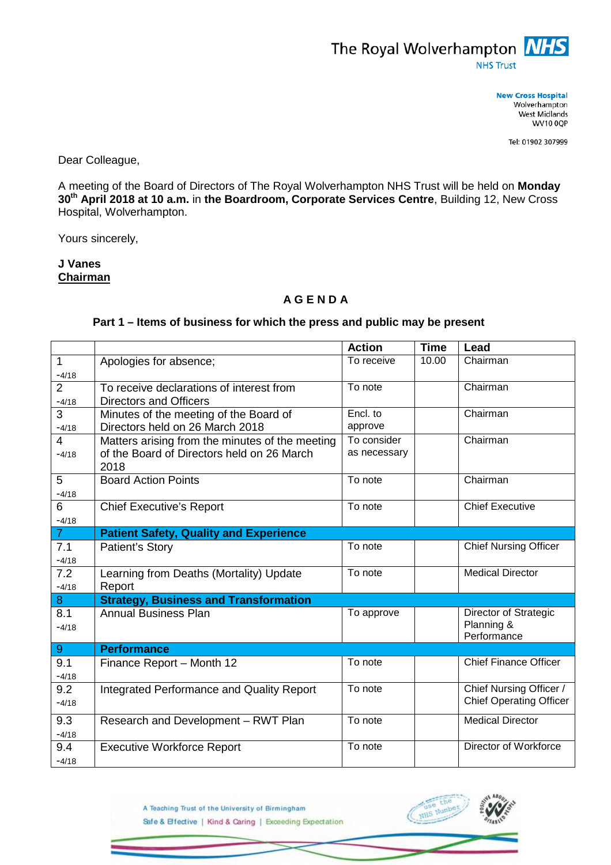

**New Cross Hospital** Wolverhampton West Midlands **WV10 0QP** 

Tel: 01902 307999

Dear Colleague,

A meeting of the Board of Directors of The Royal Wolverhampton NHS Trust will be held on **Monday 30th April 2018 at 10 a.m.** in **the Boardroom, Corporate Services Centre**, Building 12, New Cross Hospital, Wolverhampton.

Yours sincerely,

**J Vanes Chairman**

## **A G E N D A**

## **Part 1 – Items of business for which the press and public may be present**

|                |                                                    | <b>Action</b> | <b>Time</b> | Lead                           |
|----------------|----------------------------------------------------|---------------|-------------|--------------------------------|
| $\mathbf{1}$   | Apologies for absence;                             | To receive    | 10.00       | Chairman                       |
| $-4/18$        |                                                    |               |             |                                |
| $\overline{2}$ | To receive declarations of interest from           | To note       |             | Chairman                       |
| $-4/18$        | <b>Directors and Officers</b>                      |               |             |                                |
| 3              | Minutes of the meeting of the Board of             | Encl. to      |             | Chairman                       |
| $-4/18$        | Directors held on 26 March 2018                    | approve       |             |                                |
| $\overline{4}$ | Matters arising from the minutes of the meeting    | To consider   |             | Chairman                       |
| $-4/18$        | of the Board of Directors held on 26 March<br>2018 | as necessary  |             |                                |
| 5              | <b>Board Action Points</b>                         | To note       |             | Chairman                       |
| $-4/18$        |                                                    |               |             |                                |
| 6              | <b>Chief Executive's Report</b>                    | To note       |             | <b>Chief Executive</b>         |
| $-4/18$        |                                                    |               |             |                                |
| $\overline{7}$ | <b>Patient Safety, Quality and Experience</b>      |               |             |                                |
| 7.1            | Patient's Story                                    | To note       |             | <b>Chief Nursing Officer</b>   |
| $-4/18$        |                                                    |               |             |                                |
| 7.2            | Learning from Deaths (Mortality) Update            | To note       |             | <b>Medical Director</b>        |
| $-4/18$        | Report                                             |               |             |                                |
| 8              | <b>Strategy, Business and Transformation</b>       |               |             |                                |
| 8.1            | <b>Annual Business Plan</b>                        | To approve    |             | Director of Strategic          |
| $-4/18$        |                                                    |               |             | Planning &                     |
| 9              | <b>Performance</b>                                 |               |             | Performance                    |
| 9.1            |                                                    | To note       |             | <b>Chief Finance Officer</b>   |
|                | Finance Report - Month 12                          |               |             |                                |
| $-4/18$<br>9.2 |                                                    | To note       |             | Chief Nursing Officer /        |
|                | Integrated Performance and Quality Report          |               |             | <b>Chief Operating Officer</b> |
| $-4/18$        |                                                    |               |             |                                |
| 9.3            | Research and Development - RWT Plan                | To note       |             | <b>Medical Director</b>        |
| $-4/18$        |                                                    |               |             |                                |
| 9.4            | <b>Executive Workforce Report</b>                  | To note       |             | Director of Workforce          |
| $-4/18$        |                                                    |               |             |                                |